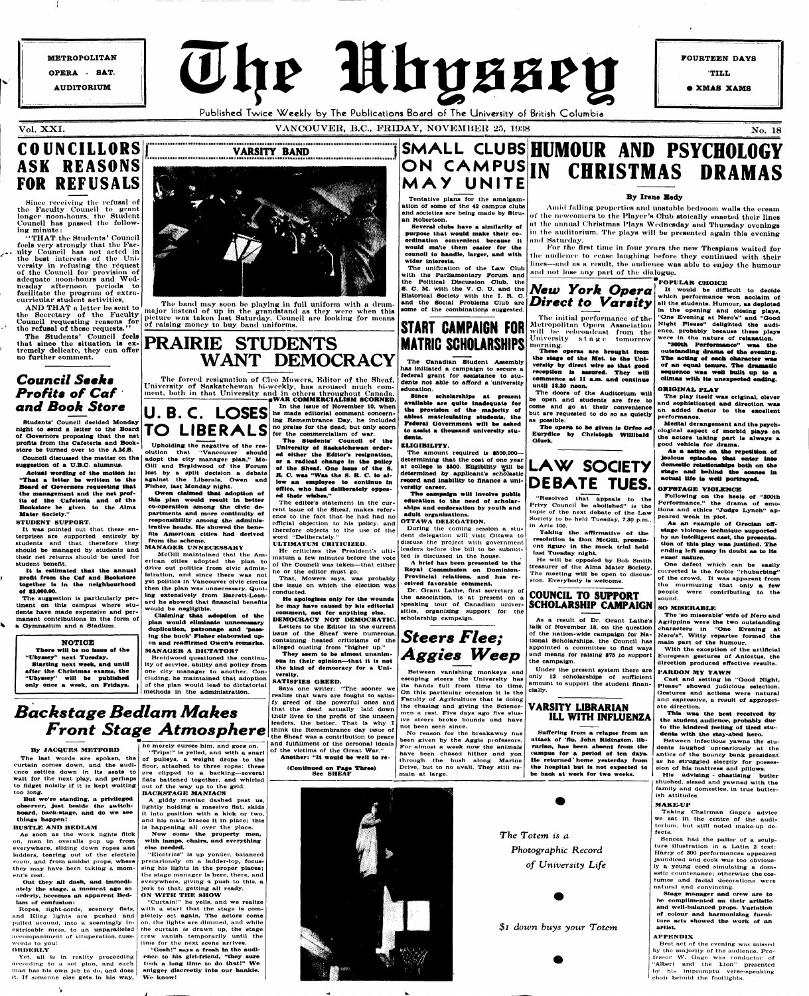**METROPOLITAN OPERA - SAT. AUDITORIUM** 

The Mhyssey Published Twice Weekly by The Publications Board of The University of British Columbia

**FOURTEEN DAYS** 

**TILL** 

**• XMAS XAMS** 

#### VOL. XXI. VANCOUVER, B.C., FRIDAY, NOVEMBER 25, 1938 No. 18

## **COUNCILLORS ASK REASONS FOR REFUSALS**

Since receiving- the refusal of the Faculty Council to grant longer noon-hours, the Student Council has passed the following minute:

"THAT the Students' Council feels very strongly that the Faculty Council has not acted in the best interests of the University in refusing the request of the Council for provision of adequate noon-hours and Wednesday afternoon periods to facilitate the program of extracurricular student activities,

AND THAT a letter be sent to the Secretary of the Faculty Council requesting reasons for the refusal of these requests.''

The Students' Council feels that since the situation is extremely delicate, they can offer no further comment.

**lIMIMIIIIIIIMIIIIIMIIMIIIItlllllllltllllllllllllllMIIIIMMMMIIIIIIIHIMMMIIMIIIIIIIIIIIIIIIIIMIIIIIIIIItlllllllllMMIIIIIIIIIIIIHIMIMK VARSITY BAND lllllllltlMIIIIIIMHMIIIIIIIIIIMMMIIMIMIIMIIIMMIMMIMIIMIMMIMIIHnnilMIIIMIHIIIIIMIIIMMIIIIHIHI lllllllllllllltlllllllllltllf** 

The suggestion is particularly per**tinent on this campus where students have made expensive and permanent contributions ln the form of a Oymnasium and a Stadium.** 

The band may soon be playing in full uniform with a drummajor instead of up in the grandstand as they were when this picture wns taken last Saturday. Council are looking for means of raising money to buy band uniforms.

## *Council Seeks Profits of Caf and Book Store*

**Students' Council decided Mondny night to send a letter to the Board of Governors proposing that the net profits from the Cafeteria and Bookstore be turned over to the A.M.S. Council discussed the matter on the** 

**suggestion of a U.B.O. alumnus. Actual wording of the motion Is: "That a letter be written to the** 

**Board of Oovernors requesting that the management and the net prof-Its of the Cafeteria and of the Bookstore be given to the Alma Mater Society."** 

#### **STUDENT SUPPORT.**

**It was pointed out that these enterprises are supported entirely by students and that therefore they should be managed by students and their net returns should be used for student benefit.** 

Yet, all is in reality proceeding **according to** *a.* **set plan, and each man has hia own job to do, and does It. If someone else gets in his way,** 

۰.

**It Is estimated that the annual profit from the Caf and Bookstore together Is In the neighbourhood of 93,000.00.** 

#### **NOTIOE**

**There will be no Issue of the "Ubyssey" next Tuesday. Starting next week, and until after the Christmas exams, the** 



**"Ubyssey" will be published only once a week, on Fridays.** 

## *Backstage Bedlam Makes Front Stage Atmosphere*

#### **By JACQUES METFORD**

**The last words are spoken, the curtain comes down, and the audience settles down ln its seats to wait for the next play, and perhaps to fidget noisily If lt ls kept waiting too long.** 

**WAR COMMERCIALISM SCORNED.**<br>In the issue of November 10, when **In the Issue of November 10, when**  U.B.C. LOSES en made editorial comment concern**ing Remembrance Day, he Included no praise for the dead, but only scorn for the commercialism of war. The Students' Couneil of the TO LIBERALS** 

**But we're standing, a privileged observer, Just beside the switchboard, back-stage, and do we see things happen!** 

#### **BUSTLE AND BEDLAM**

**As soon as the work lights flick on, men ln overalls pop up from everywhere, sliding down ropes and ladders, tearing out of the electric**  room, and from amidst props, where **they may have been taking a moment's rest.** 

**Out they aJI dash, and Immediately the stage, a moment ago so orderly, becomes an apparent Bedlam of confusion:** 

**Ropes, light-cords, scenery flats, and Klleg lights are pushed and pulled around, into a seemingly inextricable mess, to an unparalleled accompaniment of vituperation, cusswords to you!** 

#### **ORDERLY**

## **PRAIRIE STUDENTS WANT DEMOCRACY**

The forced resignation of Cleo Mowers, Editor of the Sheaf, University of Saskatchewan bi-weekly, has aroused much comment, both in that University and in others throughout Canada.

### SMALL CLUBS **HUMOUR** AND PSYCHOLOGY **ON CAMPUS IN MAY UNITE IN CHRISTMAS DRAMAS**

Amid falling properties and unstable bedroom walls the cream of the newcomers to the Player's Club stoically enacted their lines at the annual Christmas Plays Wednesday and Thursday evenings in the auditorium. The plays will be presented again this evening **and Saturday.** 

For the first time in four years the new Thespians waited for the audience to cease laughing before they continued with their **lines—and as a result, the audienc e wa s able to enjo y the humour**  and not lose any part of the dialogue.

**The editor's statement in the current Issue of the Sheaf, makes reference to the fact that he had had no official objection to his policy, and therefore objects to the use of the word "Deliberately."** 

#### **ULTIMATUM CRITICIZED.**

**he merely curses him, and goes on, "Trips!" is yelled, and with a snarl of pulleys, a weight drops to the floor, attached to three ropes: these ere clipped to a backing—several flats battened together, and whirled**  out of the way up to the grid.

**He criticizes the President's ultimatum a few minutes before the vote of the Council was taken—that either he or the editor must go. That, Mowers says, was probably** 

**the Issue on which the election was conducted.** 

**He apologises only for the wounds he may have caused by his editorial comment, not for anything else. DEMOCRACY NOT DEMOCRATIC. Letters to the Editor ln the current Issue of the Sheaf were numerous, containing heated criticisms of the alleged ousting from "higher up."** 

**University of Saskatchewan ordered either the Editor's resignation, or a radical change In the policy of the Sheaf. One Issue of the 8. R. C. was "Waa the 8. R. C. to allow an employee to continue In office, who had deliberately opposed their wishes." Upholding the negative of the resolution that "Vancouver should adopt the city manager plan," Mc-Olll and Braldwood of the Forum lost by a split decision a debate against the Liberals, Owen and Owen claimed that adoption of this plan would result ln better** 

> **They seem to be almost unanimous in their opinion—that it is not the kind of democracy for a University.**

"Gosh!" says a frosh in the audi**ence to his girl-friend, "they sure took a long time to do that!" We snigger discreetly Into our hankie. We know!** 

**SATISFIES OREED.** 

**Says one writer: "The sooner we realize that wars are fought to satisfy greed of the powerful ones and that the dead actually laid down their lives to the profit of the unseen leaders, the better. That is why I think the Remembrance day Issue of the Sheaf was a contribution to peace and fulfillment of the personal ideals of the victims of the Oreat War." Another: "It would be well to re-**

**Fisher, last Monday night.** 

**co-operation among the civic departments and more continuity of responsibility among the administrative heads. He showed the benefits American cities had derived** 

**from the scheme.** 

**MANAGER UNNECESSARY** 

**McOill maintained that the American cities adopted the plan to drive out politics from civic administration, and since there was not yet politics In Vancouver civic circles then the plan was unnecessary. Quoting extensively from Barrett-Leonard he showed that financial benefits** 

**would be negligible.** 

**Claiming that adoption of the plan would eliminate unnecessary duplication, patronage and 'passing the buck' Fisher elaborated upon and reaffirmed Owen's remarks. MANAGER A DICTATOR?** 

"**SOOth Performance" was the outstanding drama of the evening. The acting of eaoh character wae of an equal tenure. The dramatic sequence waa well built up to a climax with Ita unexpected ending.** 

**Braldwood questioned the continuity of service, ability and policy from one city manager to another. Con-**

**cluding, he maintained that adoption of the plan would lead to dictatorial methods ln the administration.** 

**Tentative plans for the amalgamation of some of the 42 campus clubs and societies are being made by Struan Robertson.** 

**Several clubs have a similarity of purpose that would make their coordination convenient because It would maf.e them easier for the council to handle, larger, and with wider Interests.** 

**The unification of the Law Club with the Parliamentary Forum and the Political Discussion Club, the 8. C. M. with the V. C. U. and the Historical Society with the I. R. C. and the Social Problems Club are some of the combinations suggested.** 

#### **By Irene Body**

**Best net of the evening was; missed by tho majority of the audience. Professor W. Gage was conductor of "Albert and the Lion" presented by his Impromptu verse-speaking**  choir behnid the footlights.

**The Canadian Student Assembly has Initiated a campaign to secure a federal grant for assistance to students not able to afford a university education.** 

**Since scholarships at present available are quite Inadequate for the provision of the majority of •blest matriculating students, the Federal Oovernment will be aaked to assist a thousand university students.** 

**ELIGIBILITY.** 

**The amount required ls \$500.000 determining that the cost of one year**  determining that the cost of one year<br>at college is \$500. Eligibility will be **LAW** SOCIETY **determined by applicant's scholastic record and Inability to finance a university career.** 

**Tha campaign will Involve public education to the need of scholarships and endorsation by youth and adult organizations. OTTAWA DELEGATION.** 

**During the coming session a student delegation will visit Ottawa to discuss the project wilh government leaders before the bill to be submit-**

**A brief has been presented to the Royal Commission on Dominion-Provincial relations, and has re- • celved favorable comment.** 

#### **BACKSTAGE MANIACS**

#### **START CAMPAIGN FOR MATRIG SCHOLARSHIPS morning.**

**A giddy maniac dashed past us, lightly holding a massive flat, skids lt Into position with a kick or two, and his mate braces lt in place; this is happening all over the place. Now come the property men, with lamps, choirs, and everything else needed. "Electrics" is up yonder, balanced** 

**precariously on a ladder-top, focussing his lights in the proper places; the stage manager Is here, there, and everywhere, giving a push to this, a Jerk to that, getting all ready. ON WITH THE SHOW** 

**"Curtain!" he yells, and we realize with a start that the stage ls completely set again. The actors come on, the lights are dimmed, and while the curtain is drawn up, the stage crew vanish temporarily until the lime for the next scene arrives.** 

**(Continued on Page Three) See SHEAF** 





**Dr. Orant Lathe, first secretary of the association, ls at present on a speaking tour of Canadian universities, organizing support for the scholarship campaign. COUNCIL TO SUPPORT SCHOLARSHIP CAMPAIGN** 

**escaping steers the University has its hands full from time to time. On this particular occasion lt Is the Faculty of Agriculture that ls doing the chasing and giving the Sciencemen a rest. Five days ago five elusive steers broke bounds and have not been seen since.** 

**No reason for the breakaway nas been given by the Aggie professors. For almost a week now the animals have been chased hither and yon through the bush along Marine Drive, but to no avail. They still remain at large.** 

**These operas are brought from the stage of the Met. to the University by direct wire so that good reception Is assured. They will commence at 11 a.m. and continue** 

**until 13.30 noon.** 

**Between vanishing monkeys and Under the present system there are** 

**The doors of the Auditorium will be open and students are free to come and go at their convenience but are requested to do so as quietly** 

**as possible.** 

**The opera to be given la Orfeo ed Eurydlce by Chrlatoph Wllllbald** 

**Oluck.** 

**DEBATE TUES. "Resolved that appeals to the Privy Council be abolished" is the topic of the next debate of the Law Society to be held Tuesday, 7.30 p.m.,** 

ted is discussed in the house.

**In Arts 100.** 

**Taking the affirmative of the resolution Is Don McGIU, prominent figure In the mock trial held** 

**last Tuesday night.** 

sion. Everybody is welcome.

**He will be opposed by Bob Smith treasurer of the Alma Mater Society. The meeting will be open to discus-**

*New York Opera Direct to Varsity*  The initial performance of the **Metropolitan Opera Association will be rebroadcast from the University sta g e tomorrow It would be difficult to decide which performance won acclaim of all the students. Humour, as depleted In the opening and closing plays, "One Evening at Nero's" and "Oood Night Please" delighted the audience, probably because these plays were in the nature of relaxation.** 

**As a result of Dr. Orant Lathe's talk of November 18, on the question of the nation-wide campaign for National Scholarships, the Council has appointed a committee to And ways and means for raising \$70** *to* **support** 

**the campaign.** 

**amount to support the student financially.** 

#### **VARSITY LIBRARIAN ILL WITH INFLUENZA**

**Suffering from a relapse from an attack of 'flu, John Ridington, librarian, has been absent from the campus for a period of ten days. He returned' home yesterday from the hospital but Is not expected to be baok at work for two weeks.** 

*The Totem is a Photographic Record of University Life* 

*\$1 down buys your Totem* 

#### **POPULAR CHOICE**

#### **ORIGINAL PLAY**

**The play Itself waa original, clever and sophisticated and direction was an added factor to the exoellent performance.** 

**Mental derangement and the psychological aspect of morbid plays on the actors taking part is alwaya a good vehicle for drama.** 

**Aa a satire on the repetition of Jealous episodes tbat enter Into domestic relationships both on the stage and behind the scenes in actual life le well portrayed.** 

#### **OFFSTAGE VIOLENCE**

**Following on the heels of "300th Performance," the drama of emotions and ethics "Judge Lynch" appeared weak in plot.** 

**As an example of Grecian offstage violence technique supported by an intelligent cast, the presentation of this play waa Justified. The ending left many In doubt as to ita exact nature.** 

**One defect which can be easily corrected Is the feeble "rhubarblng" of the crowd. It was apparent from the murmuring that only a few people were contributing to the sound.** 

#### **SO MISERABLE**

**The 'so miserable' wife of Nero and Agrippina were the two outstanding characters in "One Evening at Nero's". Witty repartee formed the main part of the humour.** 

**With the exception of the artificial European gestures of Anicetus, the direction produced effective results.** 

**onder the present system there are <b>PARDON MY YAWN**<br>only 12 scholarships of sufficient cast and setting in

**Cast and setting in "Oood Night, Please" showed judicious selection. Oestures and actions were natural and expressive, a result of appropriate direction.** 

**This was the best received by the student audience, probably due to the kindred feeling of tired students with the stay-abed hero.** 

**Between infectious yawns the stu-I antics of the bouncy bank president dents laughed uproariously at the as he struggled sleepily for possession of his mattress and pillows.** 

**His advising - chastising butler shushed, slsaed and yawned with the family and domestics, in true butler-Ish attitudes.** 

#### **MAKE-UP**

**Taking Chairman Gage's advice we sat in the centre of the auditorium, but still noted make-up defects.** 

**Seneca had the pallor of a sculpture illustration in a Latin 2 text: Harry of 300 performances appeared jaundiced and cook was too obviously a young coed simulating a domestic countenance; otherwise the costumes and facial decorations were natural and convincing.** 

**Stage manager and crew are to bo complimented on their artistic and well-balanced props. Variation of colour and harmonizing furni**ture sets showed the work of an **artist.** 

#### **APPENDIX**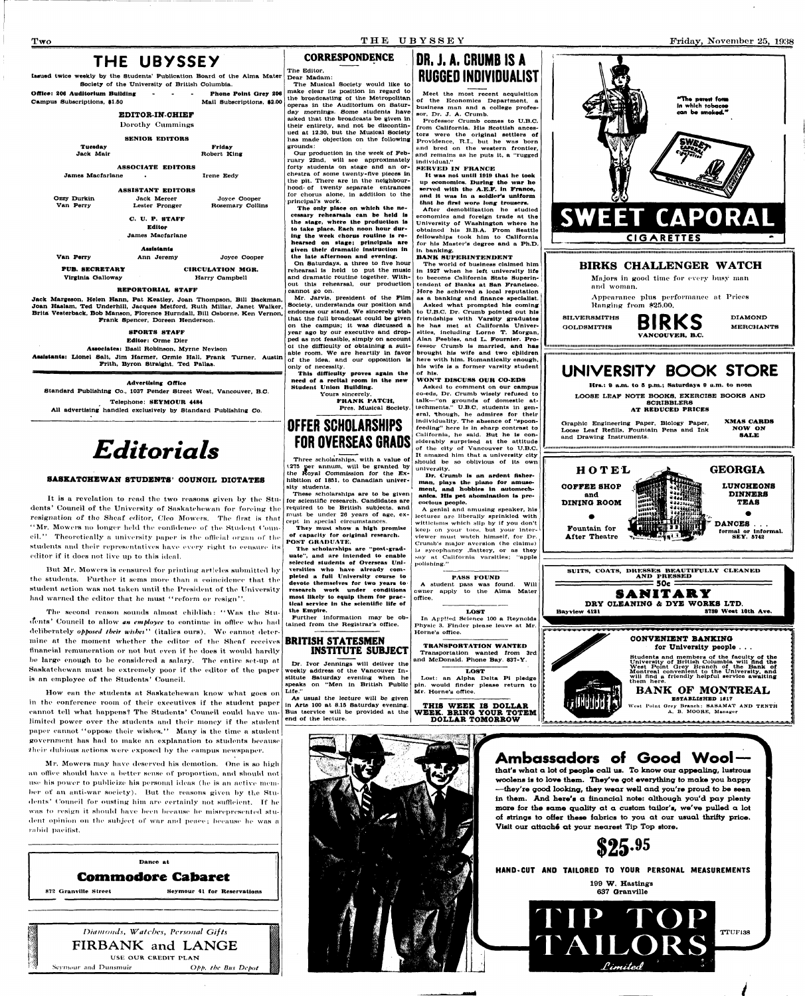## **THE UBYSSEY**

Issued twice weekly by the Students' Publication Board of the Alma Mater Society of the University of British Columbia.

**Office:** 206 Auditorium Building . . . . . . Phone Point Grey 206 Campus Subscriptions, \$2.00 Campus Subscriptions, \$1.50

#### **EDITOR-IN-CHIEF**

Dorothy Cummings

SENIOR EDITORS

| -------- |               |
|----------|---------------|
|          | Frid          |
|          | <b>Robert</b> |

Tuesday Jack Mair

Friday

Robert King

ASSOCIATE EDITORS James Macfarlane • Irene Eedy

#### ASSISTANT EDITORS

Jack Margeson, Helen Hann, Pat Keatley, Joan Thompson, Bill Backman, Joan Haslam, Ted Underhiil, Jacques Metford, Ruth Millar, Janet Walker, Brita Vesterback, Bob Manson, Florence Hurndall, Bill Osborne, Ken Vernon, Frank Spencer, Doreen Henderson.

| Ozzy Durkin | <b>Jack Mercer</b>      | Joyce Cooper     |  |  |
|-------------|-------------------------|------------------|--|--|
| Van Perry   | Lester Pronger          | Rosemary Collins |  |  |
|             | C. U. P. STAFF          |                  |  |  |
|             | Editor                  |                  |  |  |
|             | <b>James Macfarlane</b> |                  |  |  |
|             | <b>Assistants</b>       |                  |  |  |
| Van Perry   | Jeremy<br>Ann           | Joyce Cooper     |  |  |

**PUB.** SECRETARY

Virginia Galloway Harry Campbell

CIRCULATION MGR.

#### REPORTORIAL STAFF

#### SPORTS STAFF

Editor: Orme Dier

Associates: Basil Robinson, Myrne Nevlson **Assistants:** Lionel Salt, Jim Harmer, Ormle Hall, Frank Turner, Austin Frith, Byron Straight, Ted Pallas.

#### **Advertising Office**

Standard Publishing Co.. 1037 Pender Street West, Vancouver, B.C.

Telephone: SEYMOUR 4484 All advertising handled exclusively by Standard Publishing Co.

## *Editorials*

#### **SASKATCHEWAN STUDENTS' COUNCIL DICTATES**

It is a revelation to read the two reasons given by the Students' Council of the University of Saskatchewan for forcing the resignation of the Sheaf editor, Cleo Mowers. The first is that "Mr. Mowers no longer held the confidence of the Student Council." Theoretically a university paper is the official organ of the students and their representatives have every right to censure its editor if it does not live up to this ideal.

But Mr. Mowers is censured for printing articles submitted by the students. Further it sems more than a coincidence that the student action was not taken until the President of the University had warned the editor that he must "reform or resign".

The second reason sounds almost childish: "Was the Stuilents' Council to allow *an employee* to continue in office who had deliberately *opposed their wishes*" (italies ours). We cannot determine at the moment whether the editor of the Sheaf receives financial remuneration or not but even if he does it would hardly be large enough to be considered a salary. The entire set-up at Saskatchewan must be extremely poor if the editor of the paper

Mr. Jarvis, president of the Film Society, understands our position and endorses our stand. We sincerely wish that the full broadcast could be given on the campus; lt was discussed a year ago by our executive and dropped as not feasible, simply on account of the difficulty of obtaining a suitable room. We are heartily in favor of the Idea, and our opposition ls only of necessity.

It was not until 1919 that he took up economics. During the war he served with the A.E.F. In France, nnd It was In a soldier's uniform thnt he first wore long trousers.

#### **CORRESPONDENCE**

The Editor, Dear Madam:

The Musical Society would like to make clear its position in regard to the broadcasting of the Metropolitan operas ln the Auditorium on Saturday mornings. Some students have asked that the broadcasts be given in their entirety, and not be discontinued at 12.30, but the Musical Society has made objection on the following grounds: Our production ln the week of Feb-

ruary 22nd, will see approximately forty students on stage and an orchestra of some twenty-five pieces *in*  the pit. There are ln the neighbourhood- of twenty separate entrances for chorus alone, ln addition to the principal's work.

The only place on which the necessary rehearsals can be held Is the stage, where the production Is to take place. Each noon hour during the week chorus routine is rehearsed on stage; principals are given their dramatic Instruction In the late afternoon and evening. On Saturdays, a three to five hour rehearsal is held to put the music and dramatic routine together. Without this rehearsal, our production cannot go on.



SILVERSMITHS **BIRKS** DIAMOND VANCOUVER. B.C.

Graphic Engineering Paper, Biology Paper, XMAS **CARDS**  Loose Leaf Refills, Fountain Pens and Ink NOW ON NOW ON The SALE and Drawing Instruments.

This difficulty proves again the need of a recital room In the new Student Union Building. Yours sincerely.

> FRANK PATCH, Pres. Musical Society.

# **OFFER SCHOLARSHIPS**

# **FOR OVERSEAS GRADS**

Three scholarships, with a value of t.275 ger annum, will be granted by the Royal Commission for the Exhibition of 1851, to Canadian university students.

These scholarships are to be given

**that's what a lot of people call us. To know our appealing, lustrous woolens is to love them. They've got everything to make you happy —they're good looking, they wear well and you're proud to be seen in them. And here's a financial note: although you'd pay plenty more for the same quality at a custom tailor's, we've pulled a lot of strings to offer these fabrics to you at our usual thrifty price.**  Visit our attaché at your nearest Tip Top store.

for scientific research. Candidates are required to be British subjects, and must be under 26 years of age, except ln special circumstances.

They must show a high promise of capacity for original research. POST GRADUATE.

The scholarships are "post-grad-

uate", and are intended to enable selected students of Overseas Universities who have already completed a full University course to devote themselves for two years to research work under conditions most likely to equip them for practical service in the scientific life of the Empire.

Further information may be ob-

is an employee of the Students' Council.

How can the students at Saskatchewan know what goes on in the conference room of their executives if the student paper cannot tell what happens? The Students' Council could have unlimited power over the students and their money if the student paper cannot "oppose their wishes." Many is the time a student government has had to make an explanation to students because their dubious actions were exposed by the campus newspaper.

Mr. Mowers may have deserved his demotion. One is so high an office should have a better sense of proportion, and should not use his power to publicize his personal ideas (he is an active member of an anti-war society). But the reasons given by the Students' Council for ousting him are certainly not sufficient. If he was to resign it should have been because he misrepresented student opinion on the subject of war and peace; because he was a rabid pacifist.

tained from the Registrar's office.



Dr. Ivor Jennings will deliver the weekly address of the Vancouver In-

Bus tservtce will be provided at the end of the lecture.

## **DR, J. A. CRUMB IS A RUGGED INDIVIDUALIST**

Meet the most recent acquisition of the Economics Department, a business man and a college professor, Dr, J. A. Crumb.

Professor Crumb comes to U.B.C. from California. His Scottish ances tors were the original settlers of Providence, R.I., but he was born and bred on the western frontier, and remains as he puts it, a "rugged individual."

SERVED IN FRANCE

After demobilization he studied economics and foreign trade at the University of Washington where he obtained his B.B.A. From Seattle fellowships took him to California for his Master's degree and a Ph.D. In banking.

#### BANK SUPERINTENDENT

The world of business claimed him In 1927 when he left university life to become California State Superintendent of Banks at San Francisco. Here he achieved a local reputation as a banking and finance specialist. Asked what prompted his coming to U.B.C. Dr. Crumb pointed out his friendships with Varsity graduates he has met at California Universities, including Lorne T. Morgan, Alan Peebles, and L. Fournler. Professor Crumb Is married, and has brought his wife and two children here with him. Romantically enough, his wife Is a former varsity student of his.

stitute Saturday evening when he speaks on "Men in British Public Life." As usual the lecture will be given ln Arts 100 at 8.15 Saturday evening. Lost: an Alpha Delta Pt pledge pin. would finder please return to Mr. Home's office. **THIS WEEK IS DOLLAR** 

#### WON'T DISCUSS OUR CO-EDS

Asked to comment on our campus co-eds, Dr. Crumb wisely refused to talk—"on grounds of domestic attachments." U.B.C. students ln general, though, he admires for their individuality. The absence of "spoonfeeding" here ls In sharp contrast to California, he said. But he is considerably surprised at the attitude of the city of Vancouver to U.B.C. It amazed him that a university city should be so oblivious of its own university.

Dr. Crumb Is an ardent fisherman, plays the piano for amusement, and hobbles In automechanlcs. **His** pet abomination is precocious people.

A genial and amusing speaker, his lectures are liberally sprinkled with wittlclanis which slip by if you don't keep on your toes, but your interviewer must watch himself, for Dr. Crumb's major aversion (he claims) is sycophancy .flattery, or as they say at California varsities; "apple polishing."

#### PASS FOUND A student pass was found. Will owner apply to the Alma Mater office. LOST In Applied Science 100 a Reynolds

Physic 3. Finder please leave at Mr. Home's office. TRANSPORTATION WANTED

LOST





MERCHANTS



**IMIIinMMlllllllllMIIIIMIMMHIIMHIMIIIMIIIMIMMMMIIIIIMlllllllllllltttnttttltttltttttltttttltttttttllttntttttttltttttUIIUIttimtl tlllllHIIMIIIIIIItllllMMMlllllllMlMIIIHIIIMMMIIIMIMIIIMtlMIIIMIIIIHIIIMMIIIIIIIIIIMIIIIIIIMttMlllltHIIIIMMIIIltlMIHHIIMII** 

Hrs.: 9 a.m. to 5 p.m.; Saturdays 9 a.m. to noon

## **UNIVERSITY BOOK STORE**

LOOSE LEAF NOTE BOOKS, EXERCISE BOOKS AND SCRIBBLERS AT REDUCED PRICES

**itiititiitittititiittiiii\*\*ii\*iiiiiiiiiiii\*«iiiiiiiiiiiiiiiii\*t\*\*i\*iiiii«iiiii(««t\*\*\*\*\*\*\*\*\*\*\*i\*)\*\*\*\*\*\*\*ii\*\*\*'<i\*\*\*iiiiii\*\*\*\*\*\*\*\*\*i\*\*\*\*\*\*(\*\*\*'\*\*\*i\*\*(\*ii** 

**BANK OF MONTREAL ESTABLISHED 1817**  West Point Qrey Branch: SASAMAT AND TENTH A. B. MOORE, Manager



USE OUR CREDIT PLAN

Seymour and Dunsmuir *Opp. the Bits Depot* 

**Ambassadors of Good Wool —** 

**\$25-<sup>95</sup>**

**HAND-CUT ANO TAILORED TO YOUR PERSONAL MEASUREMENTS** 

**109 W. Hastings 637 Oranville** 



*1*